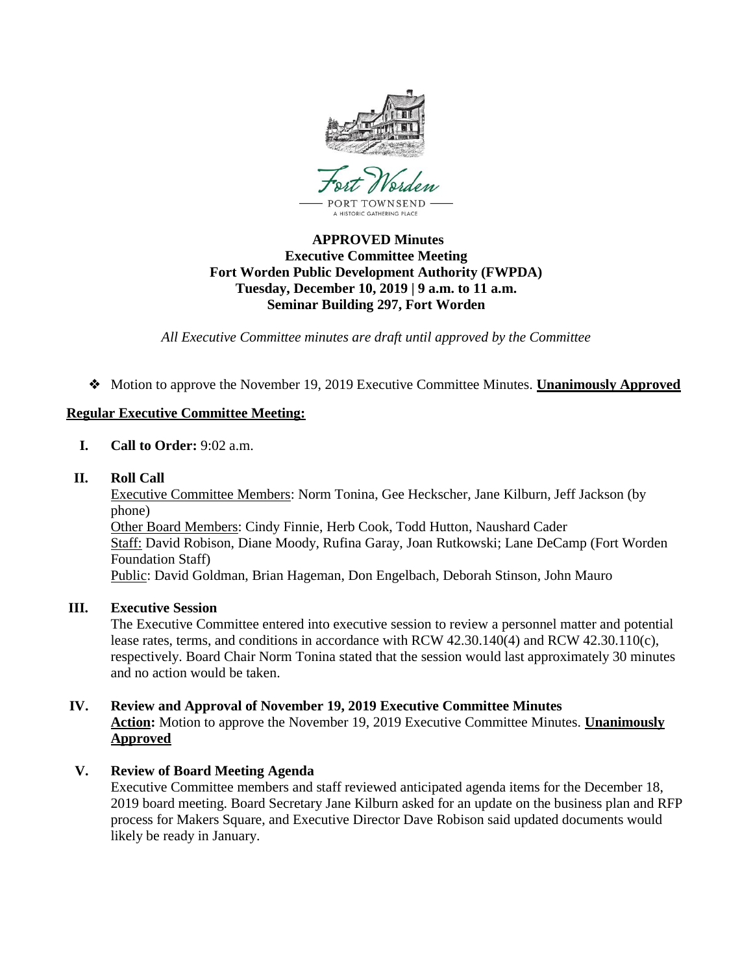

# **APPROVED Minutes Executive Committee Meeting Fort Worden Public Development Authority (FWPDA) Tuesday, December 10, 2019 | 9 a.m. to 11 a.m. Seminar Building 297, Fort Worden**

*All Executive Committee minutes are draft until approved by the Committee*

❖ Motion to approve the November 19, 2019 Executive Committee Minutes. **Unanimously Approved**

# **Regular Executive Committee Meeting:**

- **I. Call to Order:** 9:02 a.m.
- **II. Roll Call**

Executive Committee Members: Norm Tonina, Gee Heckscher, Jane Kilburn, Jeff Jackson (by phone) Other Board Members: Cindy Finnie, Herb Cook, Todd Hutton, Naushard Cader Staff: David Robison, Diane Moody, Rufina Garay, Joan Rutkowski; Lane DeCamp (Fort Worden Foundation Staff) Public: David Goldman, Brian Hageman, Don Engelbach, Deborah Stinson, John Mauro

# **III. Executive Session**

The Executive Committee entered into executive session to review a personnel matter and potential lease rates, terms, and conditions in accordance with RCW 42.30.140(4) and RCW 42.30.110(c), respectively. Board Chair Norm Tonina stated that the session would last approximately 30 minutes and no action would be taken.

- **IV. Review and Approval of November 19, 2019 Executive Committee Minutes Action:** Motion to approve the November 19, 2019 Executive Committee Minutes. **Unanimously Approved**
- **V. Review of Board Meeting Agenda**

Executive Committee members and staff reviewed anticipated agenda items for the December 18, 2019 board meeting. Board Secretary Jane Kilburn asked for an update on the business plan and RFP process for Makers Square, and Executive Director Dave Robison said updated documents would likely be ready in January.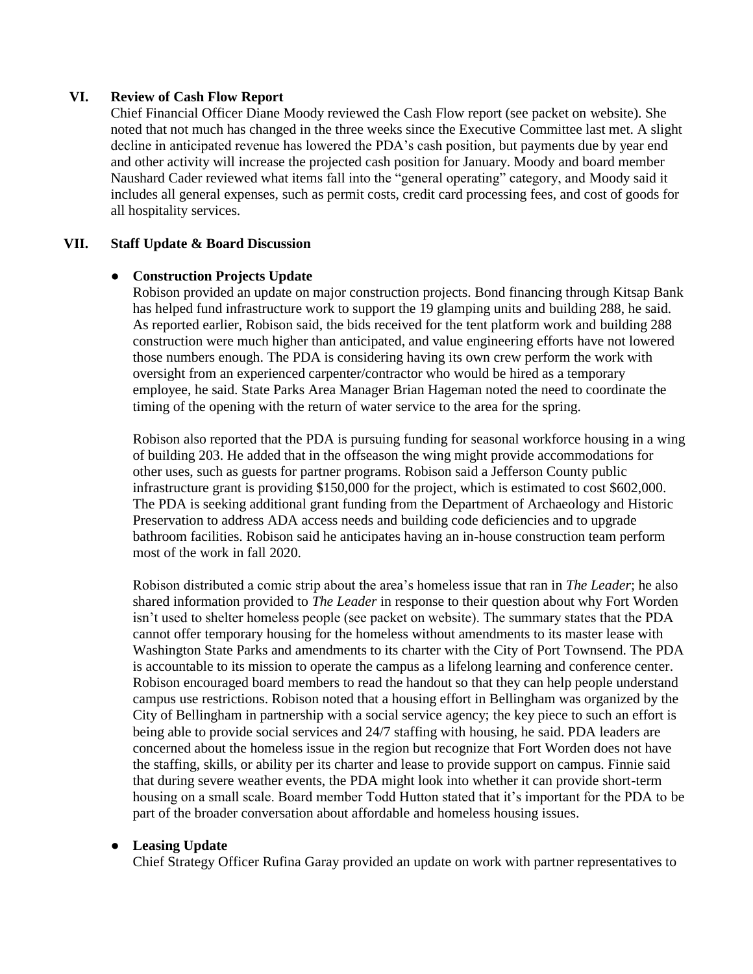#### **VI. Review of Cash Flow Report**

Chief Financial Officer Diane Moody reviewed the Cash Flow report (see packet on website). She noted that not much has changed in the three weeks since the Executive Committee last met. A slight decline in anticipated revenue has lowered the PDA's cash position, but payments due by year end and other activity will increase the projected cash position for January. Moody and board member Naushard Cader reviewed what items fall into the "general operating" category, and Moody said it includes all general expenses, such as permit costs, credit card processing fees, and cost of goods for all hospitality services.

#### **VII. Staff Update & Board Discussion**

#### ● **Construction Projects Update**

Robison provided an update on major construction projects. Bond financing through Kitsap Bank has helped fund infrastructure work to support the 19 glamping units and building 288, he said. As reported earlier, Robison said, the bids received for the tent platform work and building 288 construction were much higher than anticipated, and value engineering efforts have not lowered those numbers enough. The PDA is considering having its own crew perform the work with oversight from an experienced carpenter/contractor who would be hired as a temporary employee, he said. State Parks Area Manager Brian Hageman noted the need to coordinate the timing of the opening with the return of water service to the area for the spring.

Robison also reported that the PDA is pursuing funding for seasonal workforce housing in a wing of building 203. He added that in the offseason the wing might provide accommodations for other uses, such as guests for partner programs. Robison said a Jefferson County public infrastructure grant is providing \$150,000 for the project, which is estimated to cost \$602,000. The PDA is seeking additional grant funding from the Department of Archaeology and Historic Preservation to address ADA access needs and building code deficiencies and to upgrade bathroom facilities. Robison said he anticipates having an in-house construction team perform most of the work in fall 2020.

Robison distributed a comic strip about the area's homeless issue that ran in *The Leader*; he also shared information provided to *The Leader* in response to their question about why Fort Worden isn't used to shelter homeless people (see packet on website). The summary states that the PDA cannot offer temporary housing for the homeless without amendments to its master lease with Washington State Parks and amendments to its charter with the City of Port Townsend. The PDA is accountable to its mission to operate the campus as a lifelong learning and conference center. Robison encouraged board members to read the handout so that they can help people understand campus use restrictions. Robison noted that a housing effort in Bellingham was organized by the City of Bellingham in partnership with a social service agency; the key piece to such an effort is being able to provide social services and 24/7 staffing with housing, he said. PDA leaders are concerned about the homeless issue in the region but recognize that Fort Worden does not have the staffing, skills, or ability per its charter and lease to provide support on campus. Finnie said that during severe weather events, the PDA might look into whether it can provide short-term housing on a small scale. Board member Todd Hutton stated that it's important for the PDA to be part of the broader conversation about affordable and homeless housing issues.

## ● **Leasing Update**

Chief Strategy Officer Rufina Garay provided an update on work with partner representatives to